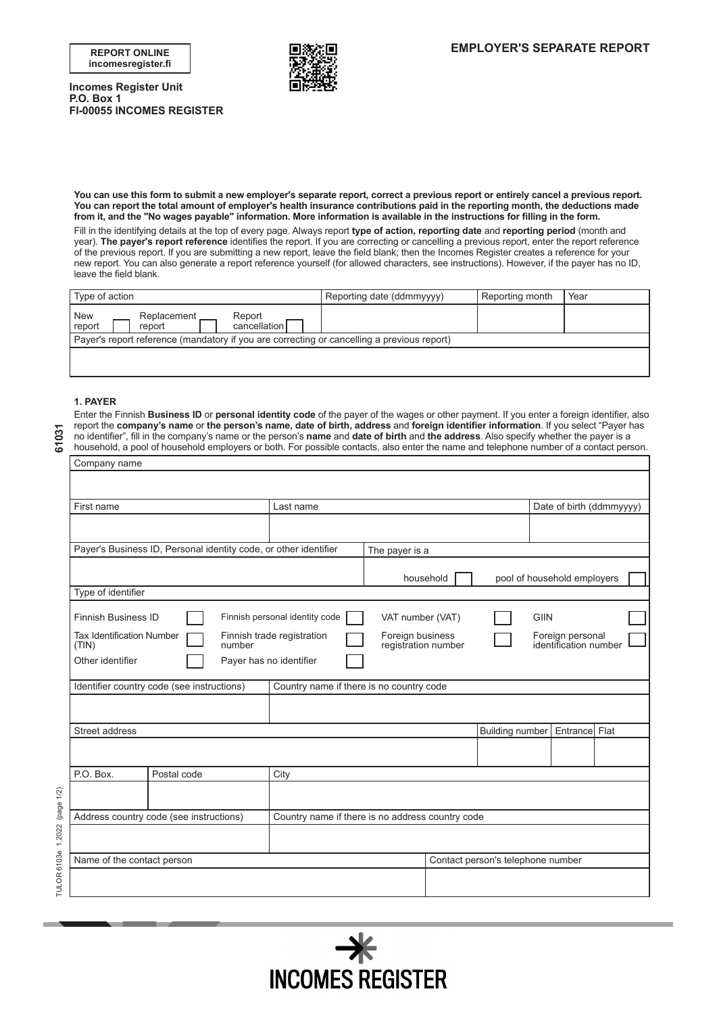**incomesregister.fi**



**Incomes Register Unit P.O. Box 1 FI-00055 INCOMES REGISTER** 

**You can use this form to submit a new employer's separate report, correct a previous report or entirely cancel a previous report. You can report the total amount of employer's health insurance contributions paid in the reporting month, the deductions made from it, and the "No wages payable" information. More information is available in the instructions for filling in the form.**

Fill in the identifying details at the top of every page. Always report **type of action, reporting date** and **reporting period** (month and year). **The payer's report reference** identifies the report. If you are correcting or cancelling a previous report, enter the report reference of the previous report. If you are submitting a new report, leave the field blank; then the Incomes Register creates a reference for your new report. You can also generate a report reference yourself (for allowed characters, see instructions). However, if the payer has no ID, leave the field blank.

| Type of action                                                                             | Reporting date (ddmmyyyy) | Reporting month | Year |  |  |  |  |
|--------------------------------------------------------------------------------------------|---------------------------|-----------------|------|--|--|--|--|
| New<br>Replacement<br>Report<br>report<br>$c$ ancellation<br>report                        |                           |                 |      |  |  |  |  |
| Payer's report reference (mandatory if you are correcting or cancelling a previous report) |                           |                 |      |  |  |  |  |
|                                                                                            |                           |                 |      |  |  |  |  |

## **1. PAYER**

Enter the Finnish **Business ID** or **personal identity code** of the payer of the wages or other payment. If you enter a foreign identifier, also report the **company's name** or **the person's name, date of birth, address** and **foreign identifier information**. If you select "Payer has no identifier", fill in the company's name or the person's **name** and **date of birth** and **the address**. Also specify whether the payer is a household, a pool of household employers or both. For possible contacts, also enter the name and telephone number of a contact person.

| 61031                         | report the company's name or the person's name, date of birth, address and foreign identifier information. If you select "Payer has<br>no identifier", fill in the company's name or the person's name and date of birth and the address. Also specify whether the payer is a<br>household, a pool of household employers or both. For possible contacts, also enter the name and telephone number of a contact person. |                                                                  |                                                                       |                  |           |                                   |             |                                           |                          |
|-------------------------------|-------------------------------------------------------------------------------------------------------------------------------------------------------------------------------------------------------------------------------------------------------------------------------------------------------------------------------------------------------------------------------------------------------------------------|------------------------------------------------------------------|-----------------------------------------------------------------------|------------------|-----------|-----------------------------------|-------------|-------------------------------------------|--------------------------|
|                               | Company name                                                                                                                                                                                                                                                                                                                                                                                                            |                                                                  |                                                                       |                  |           |                                   |             |                                           |                          |
|                               |                                                                                                                                                                                                                                                                                                                                                                                                                         |                                                                  |                                                                       |                  |           |                                   |             |                                           |                          |
|                               | First name                                                                                                                                                                                                                                                                                                                                                                                                              |                                                                  | Last name                                                             |                  |           |                                   |             |                                           | Date of birth (ddmmyyyy) |
|                               |                                                                                                                                                                                                                                                                                                                                                                                                                         |                                                                  |                                                                       |                  |           |                                   |             |                                           |                          |
|                               |                                                                                                                                                                                                                                                                                                                                                                                                                         | Payer's Business ID, Personal identity code, or other identifier | The payer is a                                                        |                  |           |                                   |             |                                           |                          |
|                               |                                                                                                                                                                                                                                                                                                                                                                                                                         |                                                                  |                                                                       |                  | household |                                   |             | pool of household employers               |                          |
|                               | Type of identifier                                                                                                                                                                                                                                                                                                                                                                                                      |                                                                  |                                                                       |                  |           |                                   |             |                                           |                          |
|                               | <b>Finnish Business ID</b>                                                                                                                                                                                                                                                                                                                                                                                              |                                                                  | Finnish personal identity code                                        | VAT number (VAT) |           |                                   | <b>GIIN</b> |                                           |                          |
|                               | <b>Tax Identification Number</b><br>(TIN)                                                                                                                                                                                                                                                                                                                                                                               | number                                                           | Finnish trade registration<br>Foreign business<br>registration number |                  |           |                                   |             | Foreign personal<br>identification number |                          |
|                               | Other identifier<br>Payer has no identifier                                                                                                                                                                                                                                                                                                                                                                             |                                                                  |                                                                       |                  |           |                                   |             |                                           |                          |
|                               |                                                                                                                                                                                                                                                                                                                                                                                                                         | Identifier country code (see instructions)                       | Country name if there is no country code                              |                  |           |                                   |             |                                           |                          |
|                               |                                                                                                                                                                                                                                                                                                                                                                                                                         |                                                                  |                                                                       |                  |           |                                   |             |                                           |                          |
|                               | Street address                                                                                                                                                                                                                                                                                                                                                                                                          |                                                                  |                                                                       |                  |           | Building number                   |             | Entrance Flat                             |                          |
|                               |                                                                                                                                                                                                                                                                                                                                                                                                                         |                                                                  |                                                                       |                  |           |                                   |             |                                           |                          |
|                               | P.O. Box.<br>Postal code<br>City                                                                                                                                                                                                                                                                                                                                                                                        |                                                                  |                                                                       |                  |           |                                   |             |                                           |                          |
|                               |                                                                                                                                                                                                                                                                                                                                                                                                                         |                                                                  |                                                                       |                  |           |                                   |             |                                           |                          |
|                               |                                                                                                                                                                                                                                                                                                                                                                                                                         | Address country code (see instructions)                          | Country name if there is no address country code                      |                  |           |                                   |             |                                           |                          |
|                               |                                                                                                                                                                                                                                                                                                                                                                                                                         |                                                                  |                                                                       |                  |           |                                   |             |                                           |                          |
|                               | Name of the contact person                                                                                                                                                                                                                                                                                                                                                                                              |                                                                  |                                                                       |                  |           | Contact person's telephone number |             |                                           |                          |
| TULOR 6103e 1.2022 (page 1/2) |                                                                                                                                                                                                                                                                                                                                                                                                                         |                                                                  |                                                                       |                  |           |                                   |             |                                           |                          |
|                               |                                                                                                                                                                                                                                                                                                                                                                                                                         |                                                                  |                                                                       |                  |           |                                   |             |                                           |                          |



61031